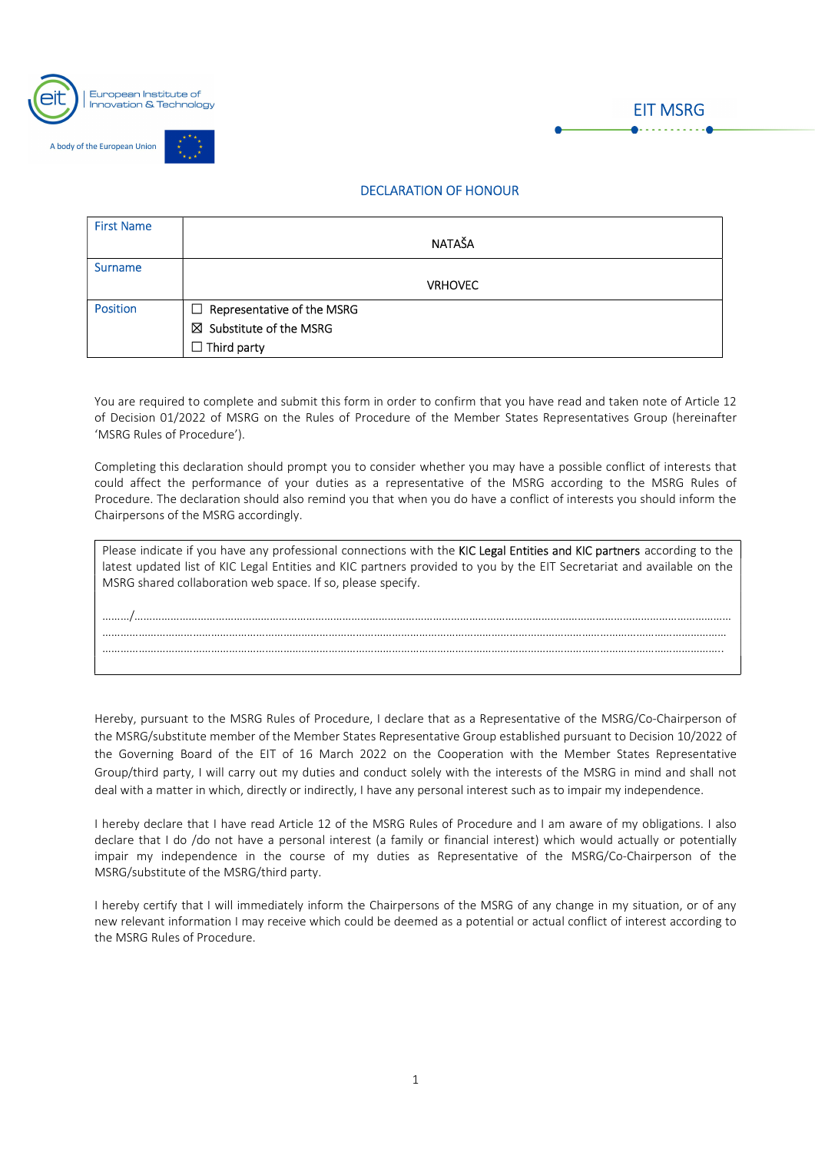

A body of the European Union





## DECLARATION OF HONOUR

| <b>First Name</b> |                                    |
|-------------------|------------------------------------|
|                   | <b>NATAŠA</b>                      |
| <b>Surname</b>    |                                    |
|                   | <b>VRHOVEC</b>                     |
| Position          | $\Box$ Representative of the MSRG  |
|                   | $\boxtimes$ Substitute of the MSRG |
|                   | $\Box$ Third party                 |

You are required to complete and submit this form in order to confirm that you have read and taken note of Article 12 of Decision 01/2022 of MSRG on the Rules of Procedure of the Member States Representatives Group (hereinafter 'MSRG Rules of Procedure').

Completing this declaration should prompt you to consider whether you may have a possible conflict of interests that could affect the performance of your duties as a representative of the MSRG according to the MSRG Rules of Procedure. The declaration should also remind you that when you do have a conflict of interests you should inform the Chairpersons of the MSRG accordingly.

Please indicate if you have any professional connections with the KIC Legal Entities and KIC partners according to the latest updated list of KIC Legal Entities and KIC partners provided to you by the EIT Secretariat and available on the MSRG shared collaboration web space. If so, please specify.

………………………………………………………………………………………………………………………………………………………………………………………

……………………………………………………………………………………………………………………………………………………………………………………..

………/………………………………………………………………………………………………………………………………………………………………………………

Hereby, pursuant to the MSRG Rules of Procedure, I declare that as a Representative of the MSRG/Co-Chairperson of the MSRG/substitute member of the Member States Representative Group established pursuant to Decision 10/2022 of the Governing Board of the EIT of 16 March 2022 on the Cooperation with the Member States Representative Group/third party, I will carry out my duties and conduct solely with the interests of the MSRG in mind and shall not deal with a matter in which, directly or indirectly, I have any personal interest such as to impair my independence.

I hereby declare that I have read Article 12 of the MSRG Rules of Procedure and I am aware of my obligations. I also declare that I do /do not have a personal interest (a family or financial interest) which would actually or potentially impair my independence in the course of my duties as Representative of the MSRG/Co-Chairperson of the MSRG/substitute of the MSRG/third party.

I hereby certify that I will immediately inform the Chairpersons of the MSRG of any change in my situation, or of any new relevant information I may receive which could be deemed as a potential or actual conflict of interest according to the MSRG Rules of Procedure.